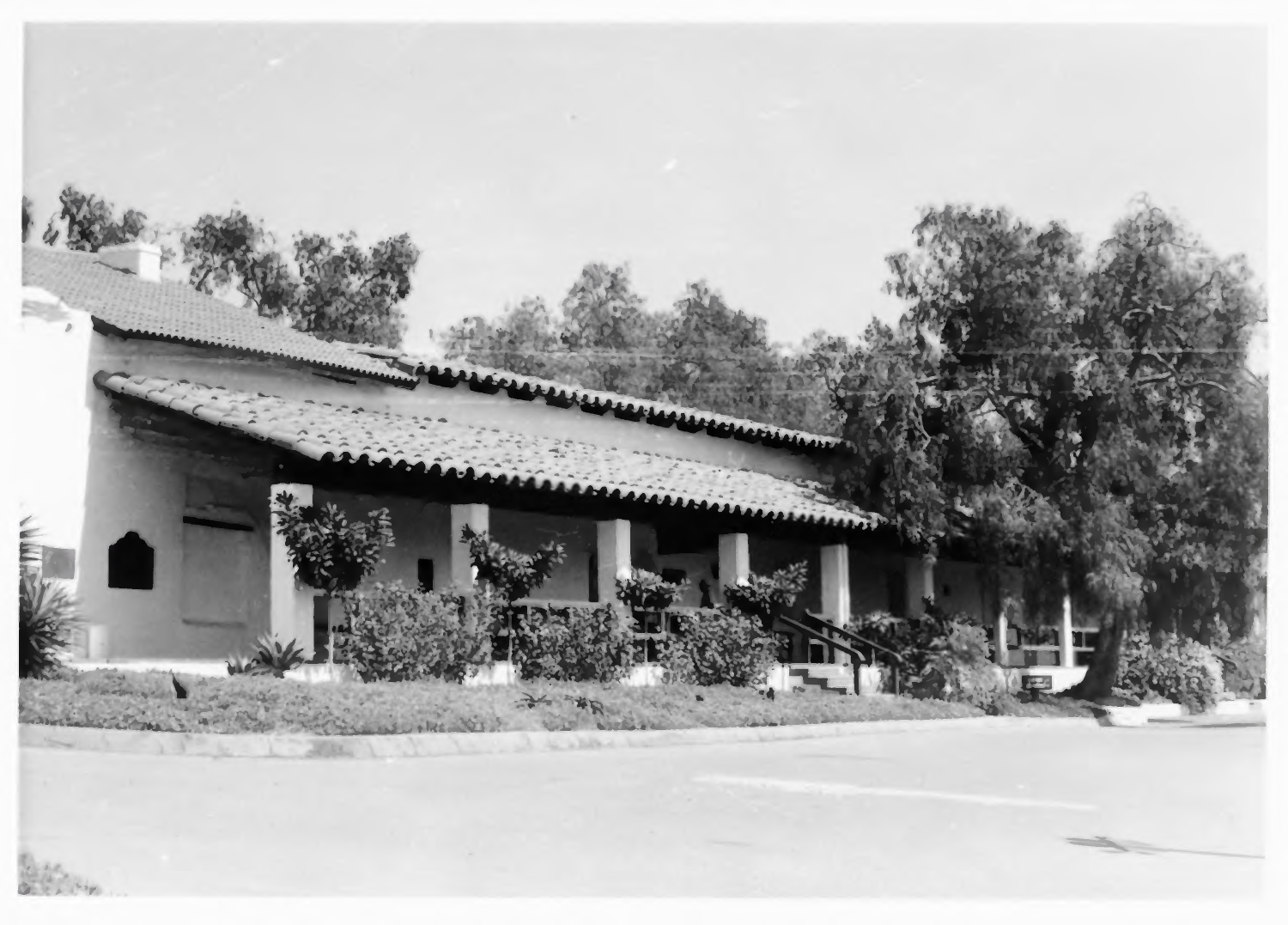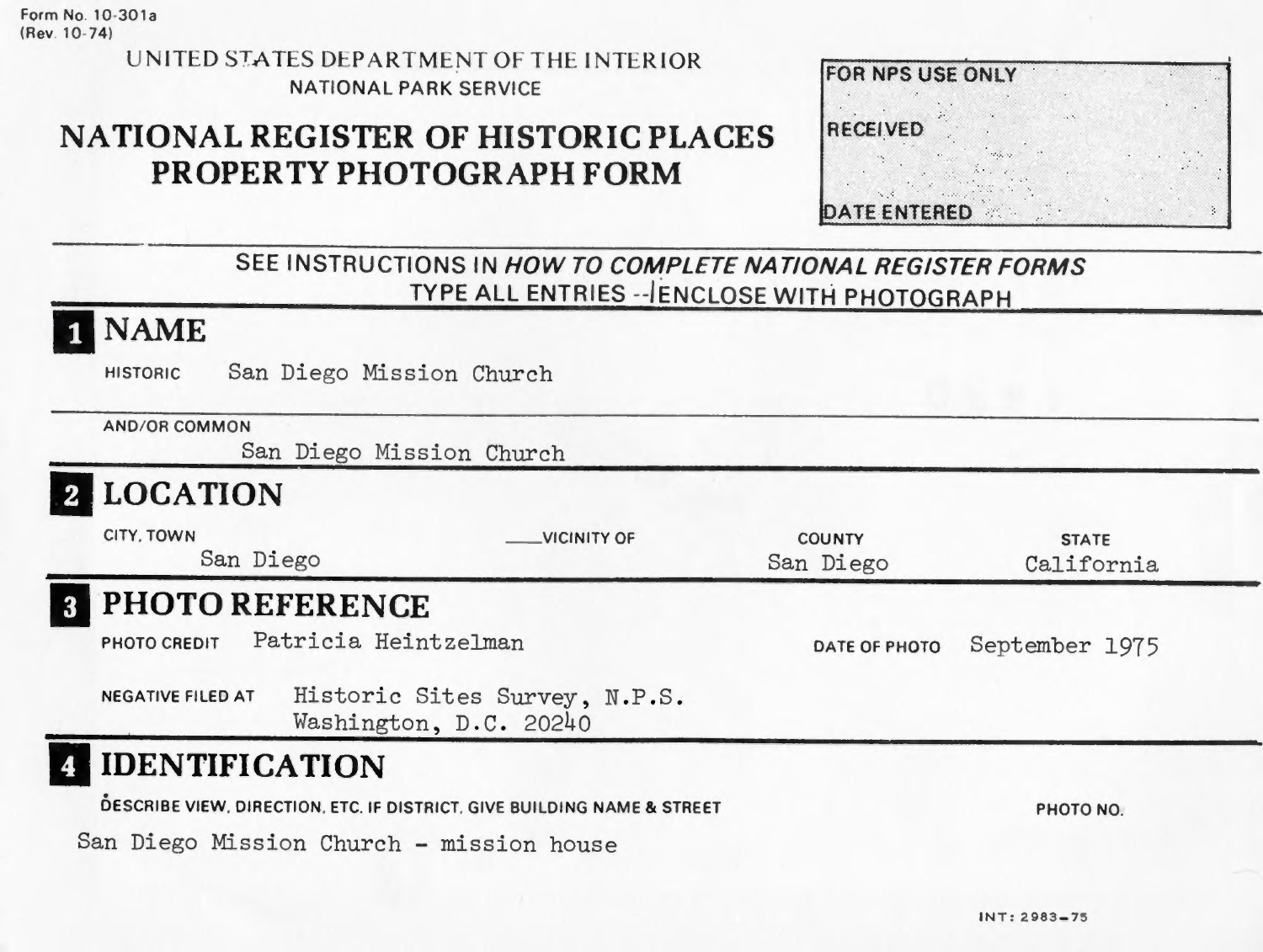Form No 10 301a (Rev 10-741

#### **UNITED STATES DEPARTMENT OF THE INTERIOR NATIONAL PARK SERVICE**

## **NATIONAL REGISTER OF HISTORIC PLACES PROPERTY PHOTOGRAPH FORM**

| <b>FOR NPS USE ONLY</b> |  |   |
|-------------------------|--|---|
| RECEIVED                |  |   |
| May 12                  |  |   |
| <b>DATE ENTERED</b>     |  | þ |

#### SEE INSTRUCTIONS IN **HOW TO COMPLETE NATIONAL REGISTER FORMS \_\_\_\_\_\_\_\_\_\_\_\_\_\_\_\_TYPE ALL** ENTRIES -JENCLOSE WITH **PHOTOGRAPH\_\_\_\_\_**

## NAME

HISTORIC San Diego Mission Church

**AND/OR COMMON**

San Diego Mission Church

# **LOCATION**

| CITY, TOWN   | San Diego                | ____VICINITY OF | <b>COUNTY</b><br>San Diego | <b>STATE</b><br>California   |  |
|--------------|--------------------------|-----------------|----------------------------|------------------------------|--|
|              | <b>REPHOTO REFERENCE</b> |                 |                            |                              |  |
| PHOTO CREDIT | Patricia Heintzelman     |                 |                            | DATE OF PHOTO September 1975 |  |

NEGATIVE FILED AT Historic Sites Survey, N.P.S. Washington, D.C. 20240

# **IDENTIFICATION**

**DESCRIBE VIEW. DIRECTION. ETC. IF DISTRICT. GIVE BUILDING NAME & STREET**

San Diego Mission Church - mission house

**PHOTO NO.**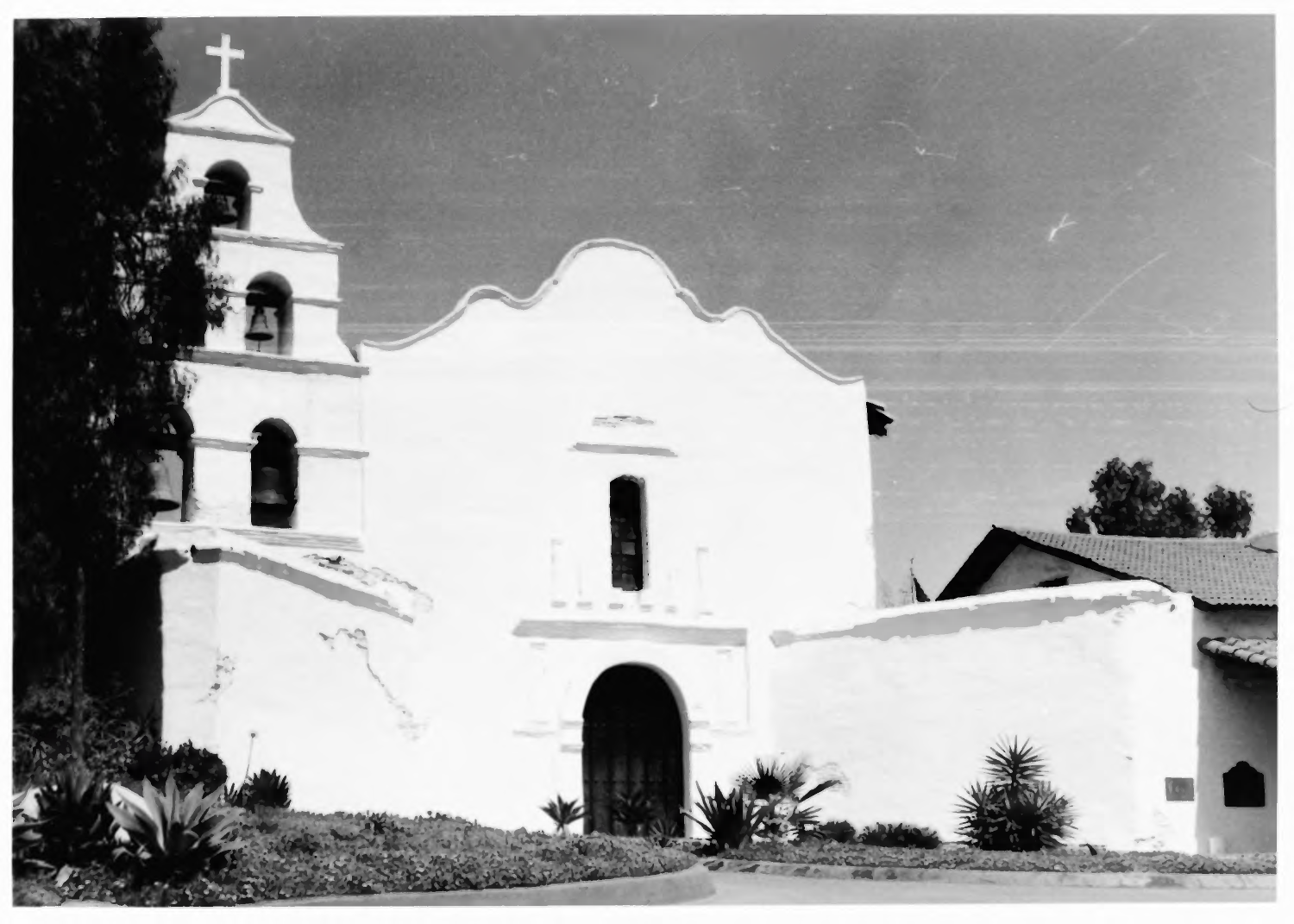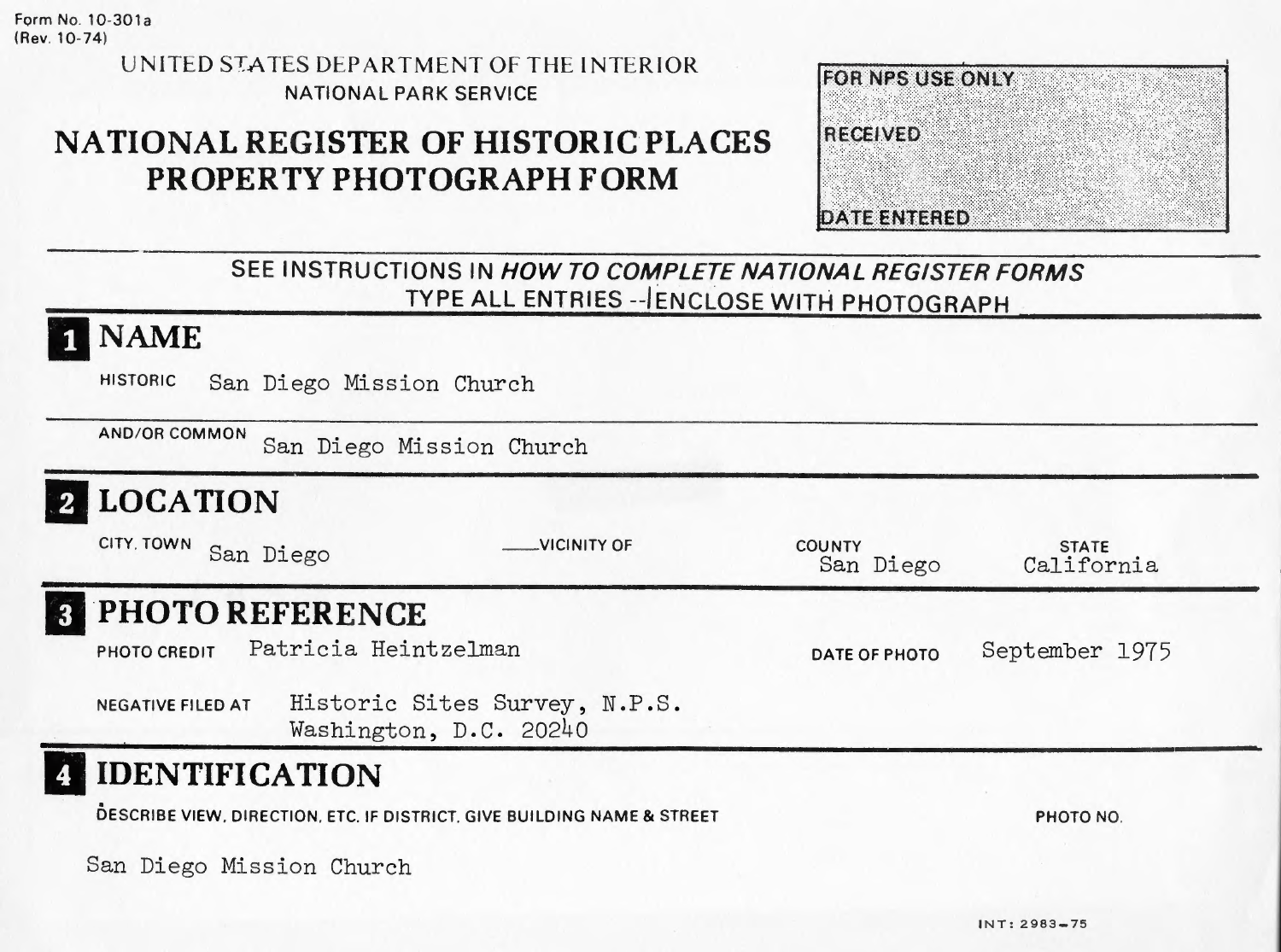**Form No 10-301a (Rev 10-741**

> **UNITED STATES DEPARTMENT OF THE INTERIOR NATIONAL PARK SERVICE**

## **NATIONAL REGISTER OF HISTORIC PLACES PROPERTY PHOTOGRAPH FORM**



#### **SEE INSTRUCTIONS IN HOW TO COMPLETE NATIONAL REGISTER FORMS \_\_\_\_\_\_\_\_\_\_\_\_\_\_\_\_\_\_TYPE ALL ENTRIES -JENCLOSE WITH PHOTOGRAPH**

# NAME

HISTORIC San Diego Mission Church

**AND/OR COMMON** San Diego Mission Church

# **LOCATION**

| CITY. TOWN San Diego |                          | ____VICINITY OF | <b>COUNTY</b><br>San Diego | <b>STATE</b><br>California |  |
|----------------------|--------------------------|-----------------|----------------------------|----------------------------|--|
|                      | <b>REPHOTO REFERENCE</b> |                 |                            |                            |  |
| PHOTO CREDIT         | Patricia Heintzelman     |                 | DATE OF PHOTO              | September 1975             |  |

NEGATIVE FILED AT Historic Sites Survey, N.P.S. Washington, D.C. 20240

# **IDENTIFICATION**

**DESCRIBE VIEW. DIRECTION. ETC. IF DISTRICT. GIVE BUILDING NAME & STREET**

**PHOTO NO.**

San Diego Mission Church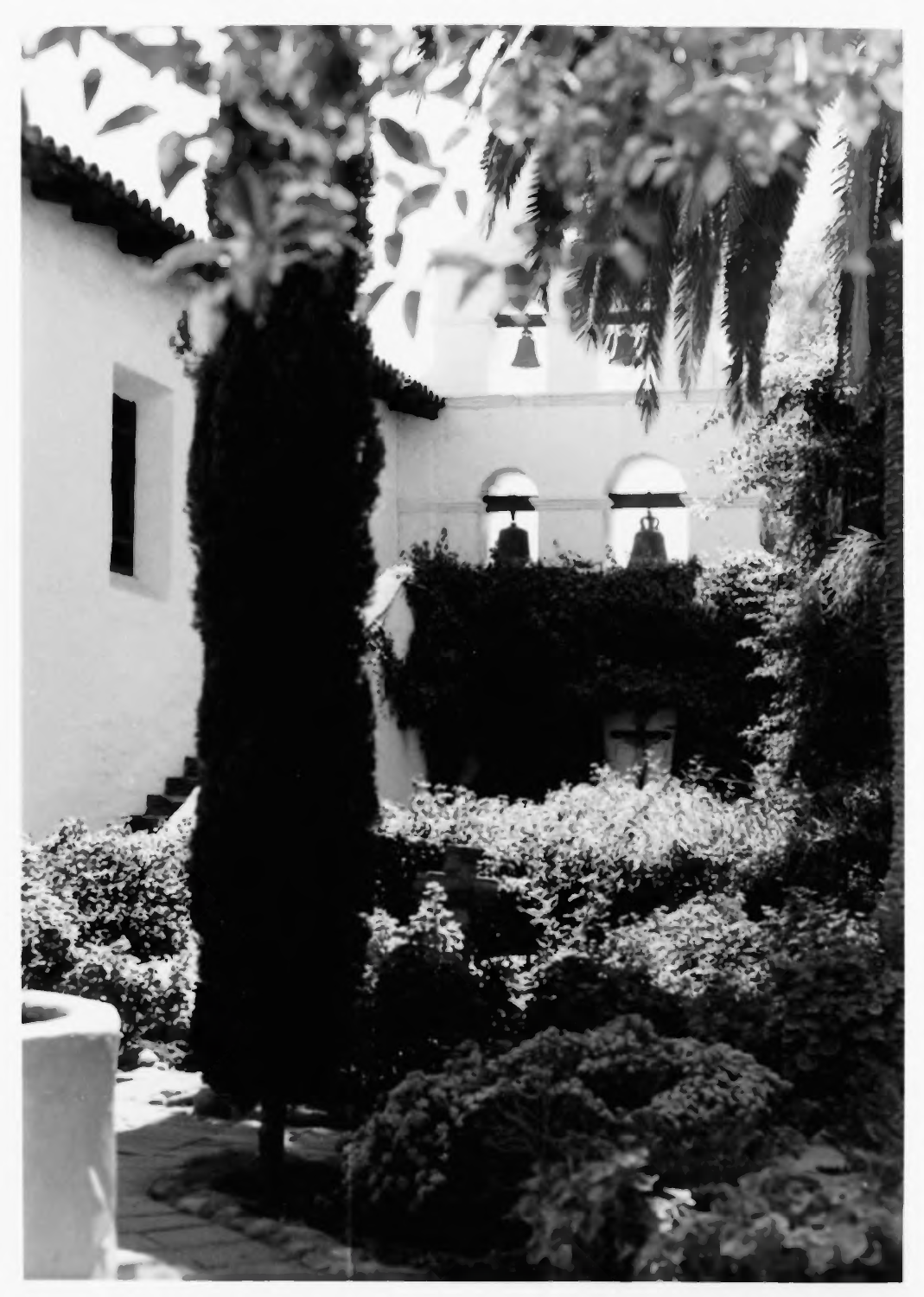